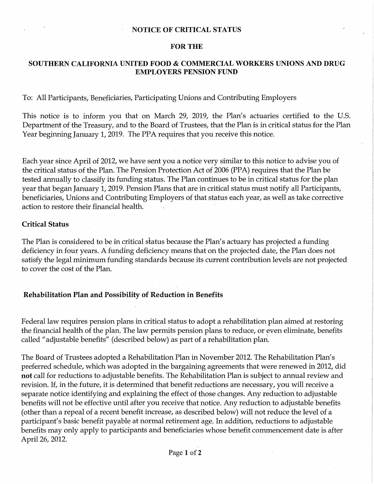### **NOTICE OF CRITICAL STATUS**

#### **FOR THE**

### **SOUTHERN CALIFORNIA UNITED FOOD** & **COMMERCIAL WORKERS UNIONS AND DRUG EMPLOYERS PENSION FUND**

### To: All Participants, Beneficiaries, Participating Unions and Contributing Employers

This notice is to inform you that on March 29, 2019, the Plan's actuaries certified to the U.S. Department of the Treasury, and to the Board of Trustees, that the Plan is in critical status for the Plan Year beginning January 1, 2019. The PPA requires that you receive this notice.

Each year since April of 2012, we have sent you a notice very similar to this notice to advise you of the critical status of the Plan. The Pension Protection Act of 2006 (PPA) requires that the Plan be tested annually to classify its funding status. The Plan continues to be in critical status for the plan year that began January 1, 2019. Pension Plans that are in critical status must notify all Participants, beneficiaries, Unions and Contributing Employers of that status each year, as well as take corrective action to restore their financial health.

### **Critical Status**

The Plan is considered to be in critical status because the Plan's actuary has projected a funding deficiency in four years. A funding deficiency means that on the projected date, the Plan does not satisfy the legal minimum funding standards because its current contribution levels are not projected to cover the cost of the Plan.

#### **Rehabilitation Plan and Possibility of Reduction in Benefits**

Federal law requires pension plans in critical status to adopt a rehabilitation plan aimed at restoring the financial health of the plan. The law permits pension plans to reduce, or even eliminate, benefits called "adjustable benefits" ( described below) as part of a rehabilitation plan.

The Board of Trustees adopted a Rehabilitation Plan in November 2012. The Rehabilitation Plan's preferred schedule, which was adopted in the bargaining agreements that were renewed in 2012, did **not** call for reductions to adjustable benefits. The Rehabilitation Plan is subject to annual review and revision. If, in the future, it is determined that benefit reductions are necessary, you will receive a separate notice identifying and explaining the effect of those changes. Any reduction to adjustable benefits will not be effective until after you receive that notice. Any reduction to adjustable benefits (other than a repeal of a recent benefit increase, as described below) will not reduce the level of a participant's basic benefit payable at normal retirement age. In addition, reductions to adjustable benefits may only apply to participants and beneficiaries whose benefit commencement date is after April 26, 2012.